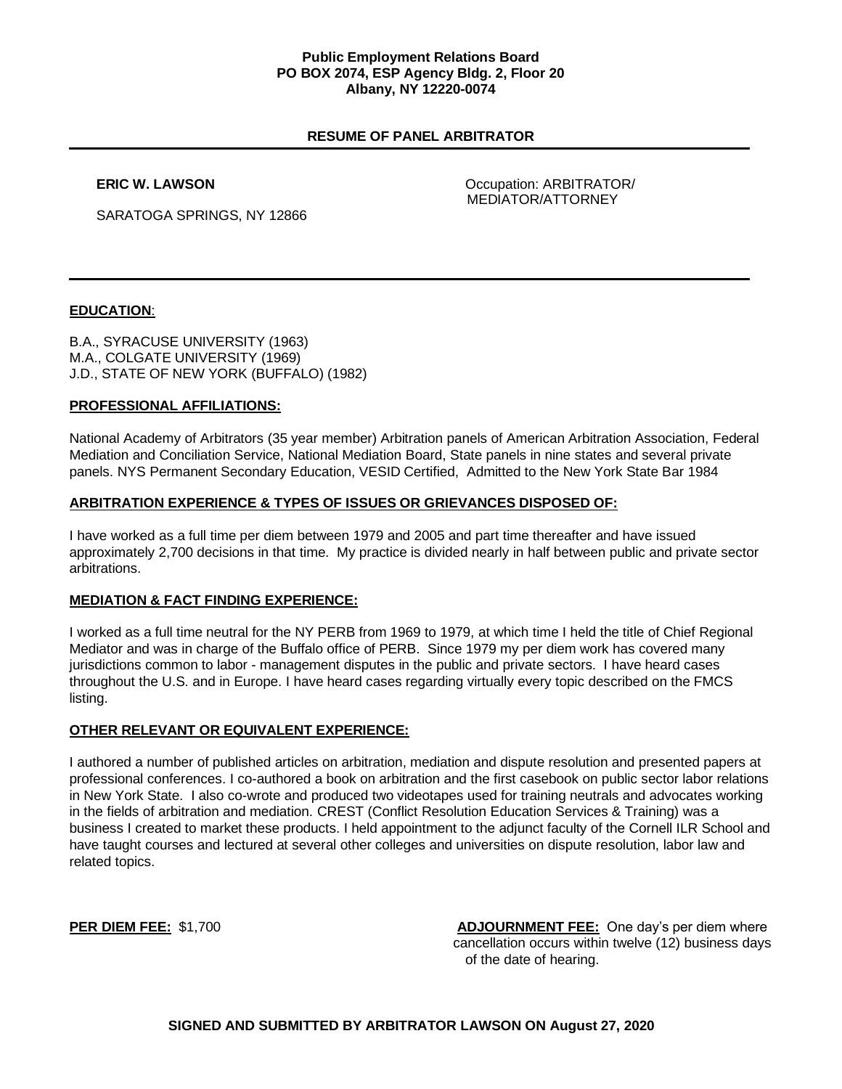## **Public Employment Relations Board PO BOX 2074, ESP Agency Bldg. 2, Floor 20 Albany, NY 12220-0074**

# **RESUME OF PANEL ARBITRATOR**

**ERIC W. LAWSON COMPANY COMPANY COMPANY Occupation: ARBITRATOR** MEDIATOR/ATTORNEY

SARATOGA SPRINGS, NY 12866

# **EDUCATION**:

B.A., SYRACUSE UNIVERSITY (1963) M.A., COLGATE UNIVERSITY (1969) J.D., STATE OF NEW YORK (BUFFALO) (1982)

## **PROFESSIONAL AFFILIATIONS:**

National Academy of Arbitrators (35 year member) Arbitration panels of American Arbitration Association, Federal Mediation and Conciliation Service, National Mediation Board, State panels in nine states and several private panels. NYS Permanent Secondary Education, VESID Certified, Admitted to the New York State Bar 1984

# **ARBITRATION EXPERIENCE & TYPES OF ISSUES OR GRIEVANCES DISPOSED OF:**

I have worked as a full time per diem between 1979 and 2005 and part time thereafter and have issued approximately 2,700 decisions in that time. My practice is divided nearly in half between public and private sector arbitrations.

## **MEDIATION & FACT FINDING EXPERIENCE:**

I worked as a full time neutral for the NY PERB from 1969 to 1979, at which time I held the title of Chief Regional Mediator and was in charge of the Buffalo office of PERB. Since 1979 my per diem work has covered many jurisdictions common to labor - management disputes in the public and private sectors. I have heard cases throughout the U.S. and in Europe. I have heard cases regarding virtually every topic described on the FMCS listing.

## **OTHER RELEVANT OR EQUIVALENT EXPERIENCE:**

I authored a number of published articles on arbitration, mediation and dispute resolution and presented papers at professional conferences. I co-authored a book on arbitration and the first casebook on public sector labor relations in New York State. I also co-wrote and produced two videotapes used for training neutrals and advocates working in the fields of arbitration and mediation. CREST (Conflict Resolution Education Services & Training) was a business I created to market these products. I held appointment to the adjunct faculty of the Cornell ILR School and have taught courses and lectured at several other colleges and universities on dispute resolution, labor law and related topics.

**PER DIEM FEE:** \$1,700 **ADJOURNMENT FEE:** One day's per diem where cancellation occurs within twelve (12) business days of the date of hearing.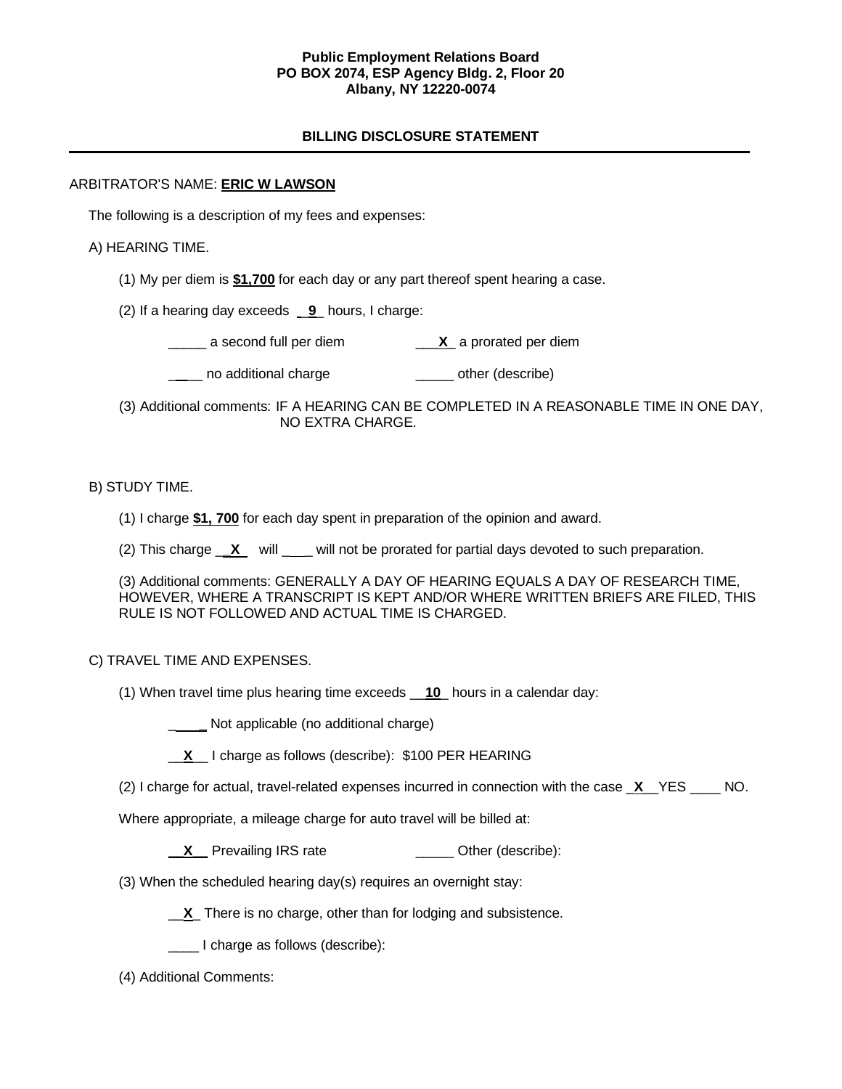## **Public Employment Relations Board PO BOX 2074, ESP Agency Bldg. 2, Floor 20 Albany, NY 12220-0074**

# **BILLING DISCLOSURE STATEMENT**

# ARBITRATOR'S NAME: **ERIC W LAWSON**

The following is a description of my fees and expenses:

# A) HEARING TIME.

(1) My per diem is **\$1,700** for each day or any part thereof spent hearing a case.

(2) If a hearing day exceeds \_**9**\_ hours, I charge:

\_\_\_\_\_ a second full per diem \_\_\_**X**\_ a prorated per diem

\_\_\_\_ no additional charge \_\_\_\_\_\_\_\_\_\_\_\_\_\_\_\_ other (describe)

 (3) Additional comments: IF A HEARING CAN BE COMPLETED IN A REASONABLE TIME IN ONE DAY, NO EXTRA CHARGE.

# B) STUDY TIME.

- (1) I charge **\$1, 700** for each day spent in preparation of the opinion and award.
- (2) This charge <u>X</u> will \_\_\_ will not be prorated for partial days devoted to such preparation.

(3) Additional comments: GENERALLY A DAY OF HEARING EQUALS A DAY OF RESEARCH TIME, HOWEVER, WHERE A TRANSCRIPT IS KEPT AND/OR WHERE WRITTEN BRIEFS ARE FILED, THIS RULE IS NOT FOLLOWED AND ACTUAL TIME IS CHARGED.

## C) TRAVEL TIME AND EXPENSES.

(1) When travel time plus hearing time exceeds \_\_**10**\_ hours in a calendar day:

**\_\_\_\_\_** Not applicable (no additional charge)

|  |  |  | I charge as follows (describe): \$100 PER HEARING |
|--|--|--|---------------------------------------------------|
|--|--|--|---------------------------------------------------|

(2) I charge for actual, travel-related expenses incurred in connection with the case \_**X**\_\_YES \_\_\_\_ NO.

Where appropriate, a mileage charge for auto travel will be billed at:

**X** Prevailing IRS rate **Discussed Contains Prevailing IRS** rate

(3) When the scheduled hearing day(s) requires an overnight stay:

\_\_**X**\_ There is no charge, other than for lodging and subsistence.

\_\_\_\_ I charge as follows (describe):

(4) Additional Comments: